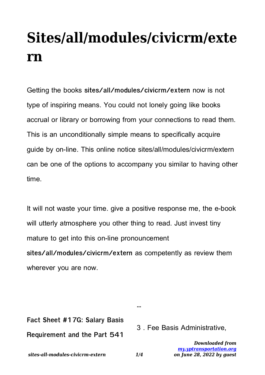## **Sites/all/modules/civicrm/exte rn**

Getting the books **sites/all/modules/civicrm/extern** now is not type of inspiring means. You could not lonely going like books accrual or library or borrowing from your connections to read them. This is an unconditionally simple means to specifically acquire guide by on-line. This online notice sites/all/modules/civicrm/extern can be one of the options to accompany you similar to having other time.

It will not waste your time. give a positive response me, the e-book will utterly atmosphere you other thing to read. Just invest tiny mature to get into this on-line pronouncement **sites/all/modules/civicrm/extern** as competently as review them wherever you are now.

*sites-all-modules-civicrm-extern 1/4 Downloaded from [my.yptransportation.org](https://my.yptransportation.org) on June 28, 2022 by guest* **Fact Sheet #17G: Salary Basis Requirement and the Part 541** 3 . Fee Basis Administrative,

**…**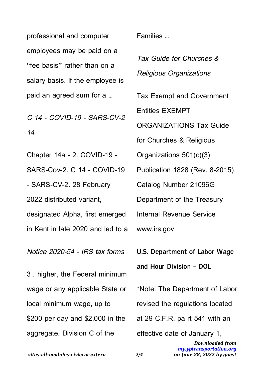professional and computer employees may be paid on a "fee basis" rather than on a salary basis. If the employee is paid an agreed sum for a …

C 14 - COVID-19 - SARS-CV-2 14

Chapter 14a - 2. COVID-19 - SARS-Cov-2. C 14 - COVID-19 - SARS-CV-2. 28 February 2022 distributed variant, designated Alpha, first emerged in Kent in late 2020 and led to a

Notice 2020-54 - IRS tax forms

3 . higher, the Federal minimum wage or any applicable State or local minimum wage, up to \$200 per day and \$2,000 in the aggregate. Division C of the

Families …

Tax Guide for Churches & Religious Organizations

Tax Exempt and Government

Entities EXEMPT

ORGANIZATIONS Tax Guide

for Churches & Religious

Organizations 501(c)(3)

Publication 1828 (Rev. 8-2015)

Catalog Number 21096G

Department of the Treasury

Internal Revenue Service

www.irs.gov

**U.S. Department of Labor Wage and Hour Division - DOL**

*Downloaded from* \*Note: The Department of Labor revised the regulations located at 29 C.F.R. pa rt 541 with an effective date of January 1,

> *[my.yptransportation.org](https://my.yptransportation.org) on June 28, 2022 by guest*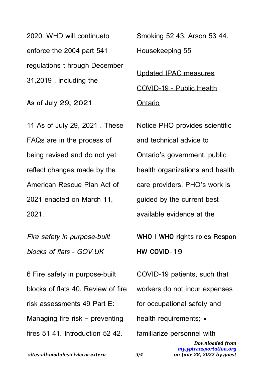2020. WHD will continueto enforce the 2004 part 541 regulations t hrough December 31,2019 , including the

**As of July 29, 2021**

11 As of July 29, 2021 . These FAQs are in the process of being revised and do not yet reflect changes made by the American Rescue Plan Act of 2021 enacted on March 11, 2021.

Fire safety in purpose-built blocks of flats - GOV.UK

6 Fire safety in purpose-built blocks of flats 40. Review of fire risk assessments 49 Part E: Managing fire risk – preventing fires 51 41. Introduction 52 42.

Smoking 52 43. Arson 53 44.

Housekeeping 55

Updated IPAC measures COVID-19 - Public Health

Ontario

Notice PHO provides scientific and technical advice to Ontario's government, public health organizations and health care providers. PHO's work is guided by the current best available evidence at the

**WHO | WHO rights roles Respon HW COVID-19**

COVID-19 patients, such that workers do not incur expenses for occupational safety and health requirements; • familiarize personnel with

> *Downloaded from [my.yptransportation.org](https://my.yptransportation.org) on June 28, 2022 by guest*

*sites-all-modules-civicrm-extern 3/4*